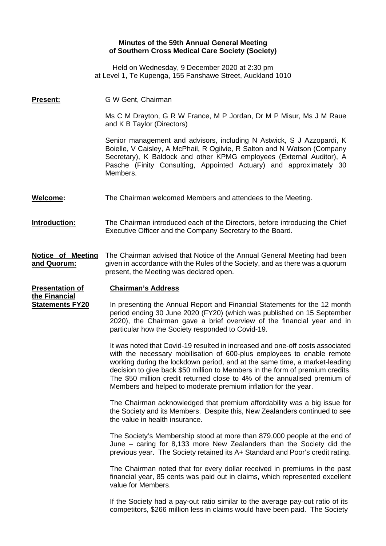## **Minutes of the 59th Annual General Meeting of Southern Cross Medical Care Society (Society)**

Held on Wednesday, 9 December 2020 at 2:30 pm at Level 1, Te Kupenga, 155 Fanshawe Street, Auckland 1010

| <u>Present:</u>                                                   | G W Gent, Chairman                                                                                                                                                                                                                                                                                                                                                                                                                                                    |
|-------------------------------------------------------------------|-----------------------------------------------------------------------------------------------------------------------------------------------------------------------------------------------------------------------------------------------------------------------------------------------------------------------------------------------------------------------------------------------------------------------------------------------------------------------|
|                                                                   | Ms C M Drayton, G R W France, M P Jordan, Dr M P Misur, Ms J M Raue<br>and K B Taylor (Directors)                                                                                                                                                                                                                                                                                                                                                                     |
|                                                                   | Senior management and advisors, including N Astwick, S J Azzopardi, K<br>Boielle, V Caisley, A McPhail, R Ogilvie, R Salton and N Watson (Company<br>Secretary), K Baldock and other KPMG employees (External Auditor), A<br>Pasche (Finity Consulting, Appointed Actuary) and approximately 30<br>Members.                                                                                                                                                           |
| <b>Welcome:</b>                                                   | The Chairman welcomed Members and attendees to the Meeting.                                                                                                                                                                                                                                                                                                                                                                                                           |
| Introduction:                                                     | The Chairman introduced each of the Directors, before introducing the Chief<br>Executive Officer and the Company Secretary to the Board.                                                                                                                                                                                                                                                                                                                              |
| <b>Notice of Meeting</b><br><u>and Quorum:</u>                    | The Chairman advised that Notice of the Annual General Meeting had been<br>given in accordance with the Rules of the Society, and as there was a quorum<br>present, the Meeting was declared open.                                                                                                                                                                                                                                                                    |
| <b>Presentation of</b><br>the Financial<br><b>Statements FY20</b> | <b>Chairman's Address</b>                                                                                                                                                                                                                                                                                                                                                                                                                                             |
|                                                                   | In presenting the Annual Report and Financial Statements for the 12 month<br>period ending 30 June 2020 (FY20) (which was published on 15 September<br>2020), the Chairman gave a brief overview of the financial year and in<br>particular how the Society responded to Covid-19.                                                                                                                                                                                    |
|                                                                   | It was noted that Covid-19 resulted in increased and one-off costs associated<br>with the necessary mobilisation of 600-plus employees to enable remote<br>working during the lockdown period, and at the same time, a market-leading<br>decision to give back \$50 million to Members in the form of premium credits.<br>The \$50 million credit returned close to 4% of the annualised premium of<br>Members and helped to moderate premium inflation for the year. |
|                                                                   | The Chairman acknowledged that premium affordability was a big issue for<br>the Society and its Members. Despite this, New Zealanders continued to see<br>the value in health insurance.                                                                                                                                                                                                                                                                              |
|                                                                   | The Society's Membership stood at more than 879,000 people at the end of<br>June – caring for 8,133 more New Zealanders than the Society did the<br>previous year. The Society retained its A+ Standard and Poor's credit rating.                                                                                                                                                                                                                                     |
|                                                                   | The Chairman noted that for every dollar received in premiums in the past<br>financial year, 85 cents was paid out in claims, which represented excellent<br>value for Members.                                                                                                                                                                                                                                                                                       |
|                                                                   | If the Society had a pay-out ratio similar to the average pay-out ratio of its<br>competitors, \$266 million less in claims would have been paid. The Society                                                                                                                                                                                                                                                                                                         |
|                                                                   |                                                                                                                                                                                                                                                                                                                                                                                                                                                                       |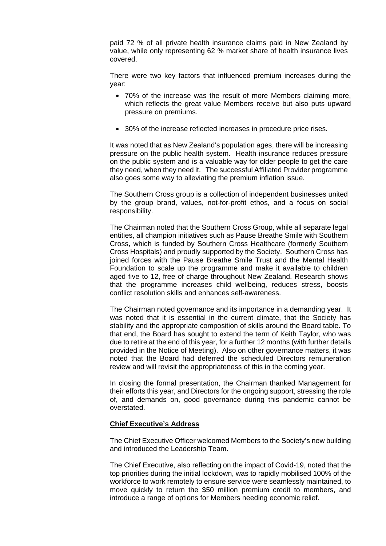paid 72 % of all private health insurance claims paid in New Zealand by value, while only representing 62 % market share of health insurance lives covered.

There were two key factors that influenced premium increases during the year:

- 70% of the increase was the result of more Members claiming more, which reflects the great value Members receive but also puts upward pressure on premiums.
- 30% of the increase reflected increases in procedure price rises.

It was noted that as New Zealand's population ages, there will be increasing pressure on the public health system. Health insurance reduces pressure on the public system and is a valuable way for older people to get the care they need, when they need it. The successful Affiliated Provider programme also goes some way to alleviating the premium inflation issue.

The Southern Cross group is a collection of independent businesses united by the group brand, values, not-for-profit ethos, and a focus on social responsibility.

The Chairman noted that the Southern Cross Group, while all separate legal entities, all champion initiatives such as Pause Breathe Smile with Southern Cross, which is funded by Southern Cross Healthcare (formerly Southern Cross Hospitals) and proudly supported by the Society. Southern Cross has joined forces with the Pause Breathe Smile Trust and the Mental Health Foundation to scale up the programme and make it available to children aged five to 12, free of charge throughout New Zealand. Research shows that the programme increases child wellbeing, reduces stress, boosts conflict resolution skills and enhances self-awareness.

The Chairman noted governance and its importance in a demanding year. It was noted that it is essential in the current climate, that the Society has stability and the appropriate composition of skills around the Board table. To that end, the Board has sought to extend the term of Keith Taylor, who was due to retire at the end of this year, for a further 12 months (with further details provided in the Notice of Meeting). Also on other governance matters, it was noted that the Board had deferred the scheduled Directors remuneration review and will revisit the appropriateness of this in the coming year.

In closing the formal presentation, the Chairman thanked Management for their efforts this year, and Directors for the ongoing support, stressing the role of, and demands on, good governance during this pandemic cannot be overstated.

#### **Chief Executive's Address**

The Chief Executive Officer welcomed Members to the Society's new building and introduced the Leadership Team.

The Chief Executive, also reflecting on the impact of Covid-19, noted that the top priorities during the initial lockdown, was to rapidly mobilised 100% of the workforce to work remotely to ensure service were seamlessly maintained, to move quickly to return the \$50 million premium credit to members, and introduce a range of options for Members needing economic relief.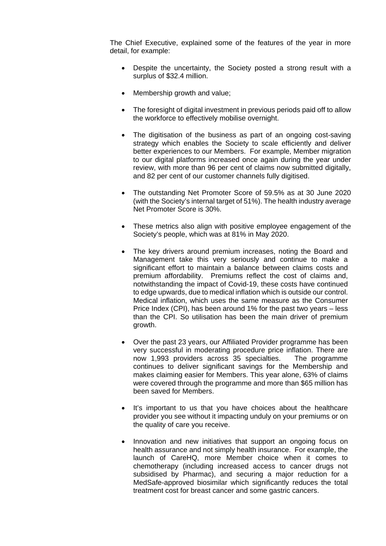The Chief Executive, explained some of the features of the year in more detail, for example:

- Despite the uncertainty, the Society posted a strong result with a surplus of \$32.4 million.
- Membership growth and value;
- The foresight of digital investment in previous periods paid off to allow the workforce to effectively mobilise overnight.
- The digitisation of the business as part of an ongoing cost-saving strategy which enables the Society to scale efficiently and deliver better experiences to our Members. For example, Member migration to our digital platforms increased once again during the year under review, with more than 96 per cent of claims now submitted digitally, and 82 per cent of our customer channels fully digitised.
- The outstanding Net Promoter Score of 59.5% as at 30 June 2020 (with the Society's internal target of 51%). The health industry average Net Promoter Score is 30%.
- These metrics also align with positive employee engagement of the Society's people, which was at 81% in May 2020.
- The key drivers around premium increases, noting the Board and Management take this very seriously and continue to make a significant effort to maintain a balance between claims costs and premium affordability. Premiums reflect the cost of claims and, notwithstanding the impact of Covid-19, these costs have continued to edge upwards, due to medical inflation which is outside our control. Medical inflation, which uses the same measure as the Consumer Price Index (CPI), has been around 1% for the past two years – less than the CPI. So utilisation has been the main driver of premium growth.
- Over the past 23 years, our Affiliated Provider programme has been very successful in moderating procedure price inflation. There are now 1,993 providers across 35 specialties. The programme continues to deliver significant savings for the Membership and makes claiming easier for Members. This year alone, 63% of claims were covered through the programme and more than \$65 million has been saved for Members.
- It's important to us that you have choices about the healthcare provider you see without it impacting unduly on your premiums or on the quality of care you receive.
- Innovation and new initiatives that support an ongoing focus on health assurance and not simply health insurance. For example, the launch of CareHQ, more Member choice when it comes to chemotherapy (including increased access to cancer drugs not subsidised by Pharmac), and securing a major reduction for a MedSafe-approved biosimilar which significantly reduces the total treatment cost for breast cancer and some gastric cancers.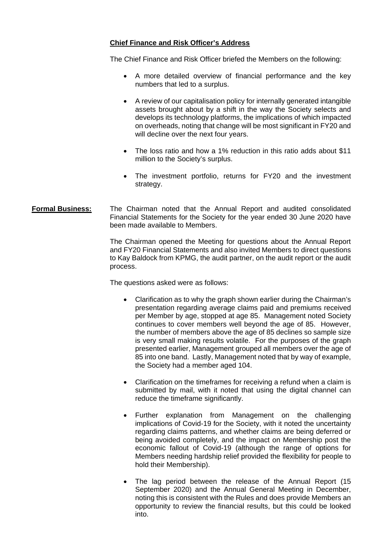### **Chief Finance and Risk Officer's Address**

The Chief Finance and Risk Officer briefed the Members on the following:

- A more detailed overview of financial performance and the key numbers that led to a surplus.
- A review of our capitalisation policy for internally generated intangible assets brought about by a shift in the way the Society selects and develops its technology platforms, the implications of which impacted on overheads, noting that change will be most significant in FY20 and will decline over the next four years.
- The loss ratio and how a 1% reduction in this ratio adds about \$11 million to the Society's surplus.
- The investment portfolio, returns for FY20 and the investment strategy.
- **Formal Business:** The Chairman noted that the Annual Report and audited consolidated Financial Statements for the Society for the year ended 30 June 2020 have been made available to Members.

The Chairman opened the Meeting for questions about the Annual Report and FY20 Financial Statements and also invited Members to direct questions to Kay Baldock from KPMG, the audit partner, on the audit report or the audit process.

The questions asked were as follows:

- Clarification as to why the graph shown earlier during the Chairman's presentation regarding average claims paid and premiums received per Member by age, stopped at age 85. Management noted Society continues to cover members well beyond the age of 85. However, the number of members above the age of 85 declines so sample size is very small making results volatile. For the purposes of the graph presented earlier, Management grouped all members over the age of 85 into one band. Lastly, Management noted that by way of example, the Society had a member aged 104.
- Clarification on the timeframes for receiving a refund when a claim is submitted by mail, with it noted that using the digital channel can reduce the timeframe significantly.
- Further explanation from Management on the challenging implications of Covid-19 for the Society, with it noted the uncertainty regarding claims patterns, and whether claims are being deferred or being avoided completely, and the impact on Membership post the economic fallout of Covid-19 (although the range of options for Members needing hardship relief provided the flexibility for people to hold their Membership).
- The lag period between the release of the Annual Report (15 September 2020) and the Annual General Meeting in December, noting this is consistent with the Rules and does provide Members an opportunity to review the financial results, but this could be looked into.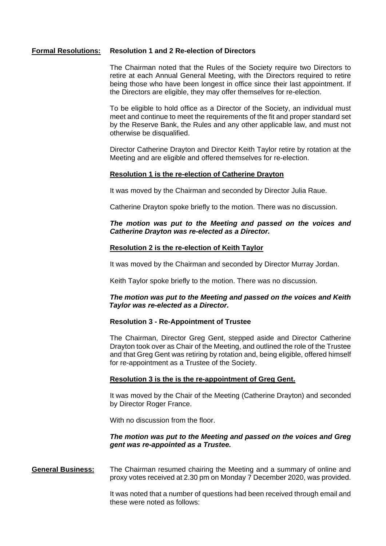#### **Formal Resolutions: Resolution 1 and 2 Re-election of Directors**

The Chairman noted that the Rules of the Society require two Directors to retire at each Annual General Meeting, with the Directors required to retire being those who have been longest in office since their last appointment. If the Directors are eligible, they may offer themselves for re-election.

To be eligible to hold office as a Director of the Society, an individual must meet and continue to meet the requirements of the fit and proper standard set by the Reserve Bank, the Rules and any other applicable law, and must not otherwise be disqualified.

Director Catherine Drayton and Director Keith Taylor retire by rotation at the Meeting and are eligible and offered themselves for re-election.

#### **Resolution 1 is the re-election of Catherine Drayton**

It was moved by the Chairman and seconded by Director Julia Raue.

Catherine Drayton spoke briefly to the motion. There was no discussion.

#### *The motion was put to the Meeting and passed on the voices and Catherine Drayton was re-elected as a Director.*

#### **Resolution 2 is the re-election of Keith Taylor**

It was moved by the Chairman and seconded by Director Murray Jordan.

Keith Taylor spoke briefly to the motion. There was no discussion.

#### *The motion was put to the Meeting and passed on the voices and Keith Taylor was re-elected as a Director.*

#### **Resolution 3 - Re-Appointment of Trustee**

The Chairman, Director Greg Gent, stepped aside and Director Catherine Drayton took over as Chair of the Meeting, and outlined the role of the Trustee and that Greg Gent was retiring by rotation and, being eligible, offered himself for re-appointment as a Trustee of the Society.

#### **Resolution 3 is the is the re-appointment of Greg Gent.**

It was moved by the Chair of the Meeting (Catherine Drayton) and seconded by Director Roger France.

With no discussion from the floor.

#### *The motion was put to the Meeting and passed on the voices and Greg gent was re-appointed as a Trustee.*

**General Business:** The Chairman resumed chairing the Meeting and a summary of online and proxy votes received at 2.30 pm on Monday 7 December 2020, was provided.

> It was noted that a number of questions had been received through email and these were noted as follows: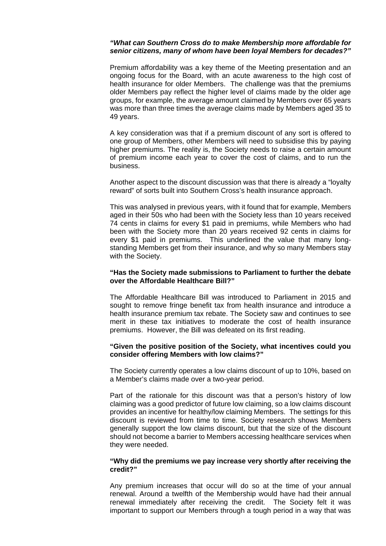#### *"What can Southern Cross do to make Membership more affordable for senior citizens, many of whom have been loyal Members for decades?"*

Premium affordability was a key theme of the Meeting presentation and an ongoing focus for the Board, with an acute awareness to the high cost of health insurance for older Members. The challenge was that the premiums older Members pay reflect the higher level of claims made by the older age groups, for example, the average amount claimed by Members over 65 years was more than three times the average claims made by Members aged 35 to 49 years.

A key consideration was that if a premium discount of any sort is offered to one group of Members, other Members will need to subsidise this by paying higher premiums. The reality is, the Society needs to raise a certain amount of premium income each year to cover the cost of claims, and to run the business.

Another aspect to the discount discussion was that there is already a "loyalty reward" of sorts built into Southern Cross's health insurance approach.

This was analysed in previous years, with it found that for example, Members aged in their 50s who had been with the Society less than 10 years received 74 cents in claims for every \$1 paid in premiums, while Members who had been with the Society more than 20 years received 92 cents in claims for every \$1 paid in premiums. This underlined the value that many longstanding Members get from their insurance, and why so many Members stay with the Society.

#### **"Has the Society made submissions to Parliament to further the debate over the Affordable Healthcare Bill?"**

The Affordable Healthcare Bill was introduced to Parliament in 2015 and sought to remove fringe benefit tax from health insurance and introduce a health insurance premium tax rebate. The Society saw and continues to see merit in these tax initiatives to moderate the cost of health insurance premiums. However, the Bill was defeated on its first reading.

#### **"Given the positive position of the Society, what incentives could you consider offering Members with low claims?"**

The Society currently operates a low claims discount of up to 10%, based on a Member's claims made over a two-year period.

Part of the rationale for this discount was that a person's history of low claiming was a good predictor of future low claiming, so a low claims discount provides an incentive for healthy/low claiming Members. The settings for this discount is reviewed from time to time. Society research shows Members generally support the low claims discount, but that the size of the discount should not become a barrier to Members accessing healthcare services when they were needed.

#### **"Why did the premiums we pay increase very shortly after receiving the credit?"**

Any premium increases that occur will do so at the time of your annual renewal. Around a twelfth of the Membership would have had their annual renewal immediately after receiving the credit. The Society felt it was important to support our Members through a tough period in a way that was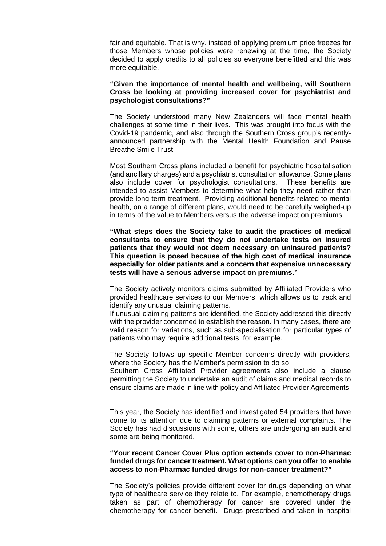fair and equitable. That is why, instead of applying premium price freezes for those Members whose policies were renewing at the time, the Society decided to apply credits to all policies so everyone benefitted and this was more equitable.

#### **"Given the importance of mental health and wellbeing, will Southern Cross be looking at providing increased cover for psychiatrist and psychologist consultations?"**

The Society understood many New Zealanders will face mental health challenges at some time in their lives. This was brought into focus with the Covid-19 pandemic, and also through the Southern Cross group's recentlyannounced partnership with the Mental Health Foundation and Pause Breathe Smile Trust.

Most Southern Cross plans included a benefit for psychiatric hospitalisation (and ancillary charges) and a psychiatrist consultation allowance. Some plans also include cover for psychologist consultations. These benefits are intended to assist Members to determine what help they need rather than provide long-term treatment. Providing additional benefits related to mental health, on a range of different plans, would need to be carefully weighed-up in terms of the value to Members versus the adverse impact on premiums.

**"What steps does the Society take to audit the practices of medical consultants to ensure that they do not undertake tests on insured patients that they would not deem necessary on uninsured patients? This question is posed because of the high cost of medical insurance especially for older patients and a concern that expensive unnecessary tests will have a serious adverse impact on premiums."**

The Society actively monitors claims submitted by Affiliated Providers who provided healthcare services to our Members, which allows us to track and identify any unusual claiming patterns.

If unusual claiming patterns are identified, the Society addressed this directly with the provider concerned to establish the reason. In many cases, there are valid reason for variations, such as sub-specialisation for particular types of patients who may require additional tests, for example.

The Society follows up specific Member concerns directly with providers, where the Society has the Member's permission to do so.

Southern Cross Affiliated Provider agreements also include a clause permitting the Society to undertake an audit of claims and medical records to ensure claims are made in line with policy and Affiliated Provider Agreements.

This year, the Society has identified and investigated 54 providers that have come to its attention due to claiming patterns or external complaints. The Society has had discussions with some, others are undergoing an audit and some are being monitored.

#### **"Your recent Cancer Cover Plus option extends cover to non-Pharmac funded drugs for cancer treatment. What options can you offer to enable access to non-Pharmac funded drugs for non-cancer treatment?"**

The Society's policies provide different cover for drugs depending on what type of healthcare service they relate to. For example, chemotherapy drugs taken as part of chemotherapy for cancer are covered under the chemotherapy for cancer benefit. Drugs prescribed and taken in hospital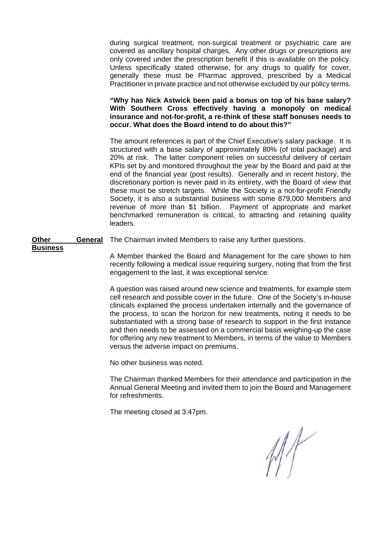during surgical treatment, non-surgical treatment or psychiatric care are covered as ancillary hospital charges. Any other drugs or prescriptions are only covered under the prescription benefit if this is available on the policy. Unless specifically stated otherwise, for any drugs to qualify for cover, generally these must be Pharmac approved, prescribed by a Medical Practitioner in private practice and not otherwise excluded by our policy terms.

**"Why has Nick Astwick been paid a bonus on top of his base salary? With Southern Cross effectively having a monopoly on medical insurance and not-for-profit, a re-think of these staff bonuses needs to occur. What does the Board intend to do about this?"**

The amount references is part of the Chief Executive's salary package. It is structured with a base salary of approximately 80% (of total package) and 20% at risk. The latter component relies on successful delivery of certain KPIs set by and monitored throughout the year by the Board and paid at the end of the financial year (post results). Generally and in recent history, the discretionary portion is never paid in its entirety, with the Board of view that these must be stretch targets. While the Society is a not-for-profit Friendly Society, it is also a substantial business with some 879,000 Members and revenue of more than \$1 billion. Payment of appropriate and market benchmarked remuneration is critical, to attracting and retaining quality leaders.

**Other General** The Chairman invited Members to raise any further questions.

**Business**

A Member thanked the Board and Management for the care shown to him recently following a medical issue requiring surgery, noting that from the first engagement to the last, it was exceptional service.

A question was raised around new science and treatments, for example stem cell research and possible cover in the future. One of the Society's in-house clinicals explained the process undertaken internally and the governance of the process, to scan the horizon for new treatments, noting it needs to be substantiated with a strong base of research to support in the first instance and then needs to be assessed on a commercial basis weighing-up the case for offering any new treatment to Members, in terms of the value to Members versus the adverse impact on premiums.

No other business was noted.

The Chairman thanked Members for their attendance and participation in the Annual General Meeting and invited them to join the Board and Management for refreshments.

The meeting closed at 3:47pm.

 $M$